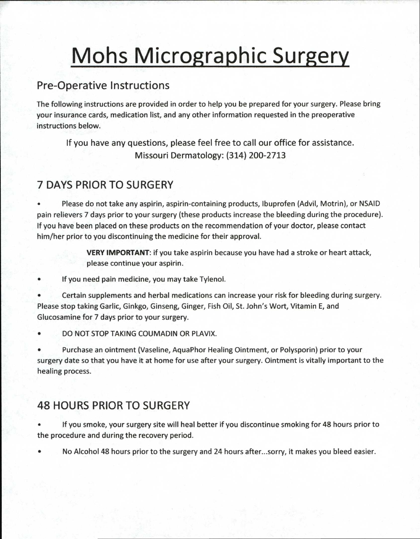# **Mohs Micrographic Surgery**

## Pre-Operative Instructions

The following instructions are provided in order to help you be prepared for your surgery. Please bring your insurance cards, medication list, and any other information requested in the preoperative instructions below.

If you have any questions, please feel free to call our office for assistance. Missouri Dermatology: (314) 200-2713

# 7 DAYS PRIOR TO SURGERY

• Please do not take any aspirin, aspirin-containing products, Ibuprofen (Advil, Motrin), or NSAID pain relievers 7 days prior to your surgery (these products increase the bleeding during the procedure). If you have been placed on these products on the recommendation of your doctor, please contact him/her prior to you discontinuing the medicine for their approval.

> **VERY IMPORTANT:** if you take aspirin because you have had a stroke or heart attack, please continue your aspirin.

If you need pain medicine, you may take Tylenol.

• Certain supplements and herbal medications can increase your risk for bleeding during surgery. Please stop taking Garlic, Ginkgo, Ginseng, Ginger, Fish Oil, St. John's Wort, Vitamin E, and Glucosamine for 7 days prior to your surgery.

• DO NOT STOP TAKING COUMADIN OR PLAVIX.

• Purchase an ointment (Vaseline, AquaPhor Healing Ointment, or Polysporin) prior to your surgery date so that you have it at home for use after your surgery. Ointment is vitally important to the healing process.

# 48 HOURS PRIOR TO SURGERY

• If you smoke, your surgery site will heal better if you discontinue smoking for 48 hours prior to the procedure and during the recovery period.

• No Alcohol 48 hours prior to the surgery and 24 hours after...sorry, it makes you bleed easier.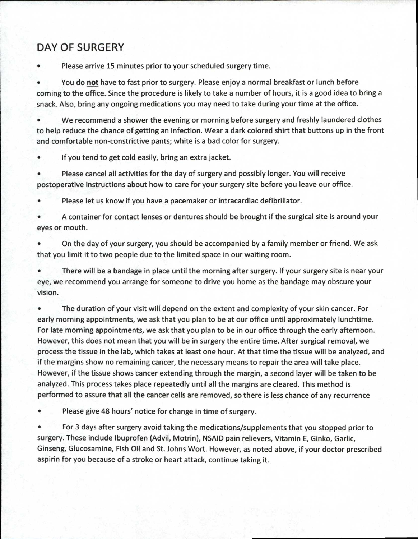## DAY OF SURGERY

Please arrive 15 minutes prior to your scheduled surgery time.

You do **not** have to fast prior to surgery. Please enjoy a normal breakfast or lunch before coming to the office. Since the procedure is likely to take a number of hours, it is a good idea to bring a snack. Also, bring any ongoing medications you may need to take during your time at the office.

• We recommend a shower the evening or morning before surgery and freshly laundered clothes to help reduce the chance of getting an infection. Wear a dark colored shirt that buttons up in the front and comfortable non-constrictive pants; white is a bad color for surgery.

If you tend to get cold easily, bring an extra jacket.

• Please cancel all activities for the day of surgery and possibly longer. You will receive postoperative instructions about how to care for your surgery site before you leave our office.

• Please let us know if you have a pacemaker or intracardiac defibrillator.

• A container for contact lenses or dentures should be brought if the surgical site is around your eyes or mouth.

• On the day of your surgery, you should be accompanied by a family member or friend. We ask that you limit it to two people due to the limited space in our waiting room.

• There will be a bandage in place until the morning after surgery. If your surgery site is near your eye, we recommend you arrange for someone to drive you home as the bandage may obscure your vision.

• The duration of your visit will depend on the extent and complexity of your skin cancer. For early morning appointments, we ask that you plan to be at our office until approximately lunchtime. For late morning appointments, we ask that you plan to be in our office through the early afternoon. However, this does not mean that you will be in surgery the entire time. After surgical removal, we process the tissue in the lab, which takes at least one hour. At that time the tissue will be analyzed, and if the margins show no remaining cancer, the necessary means to repair the area will take place. However, if the tissue shows cancer extending through the margin, a second layer will be taken to be analyzed. This process takes place repeatedly until all the margins are cleared. This method is performed to assure that all the cancer cells are removed, so there is less chance of any recurrence

Please give 48 hours' notice for change in time of surgery.

• For 3 days after surgery avoid taking the medications/supplements that you stopped prior to surgery. These include Ibuprofen (Advil, Motrin), NSAID pain relievers, Vitamin E, Ginko, Garlic, Ginseng, Glucosamine, Fish Oil and St. Johns Wort. However, as noted above, if your doctor prescribed aspirin for you because of a stroke or heart attack, continue taking it.